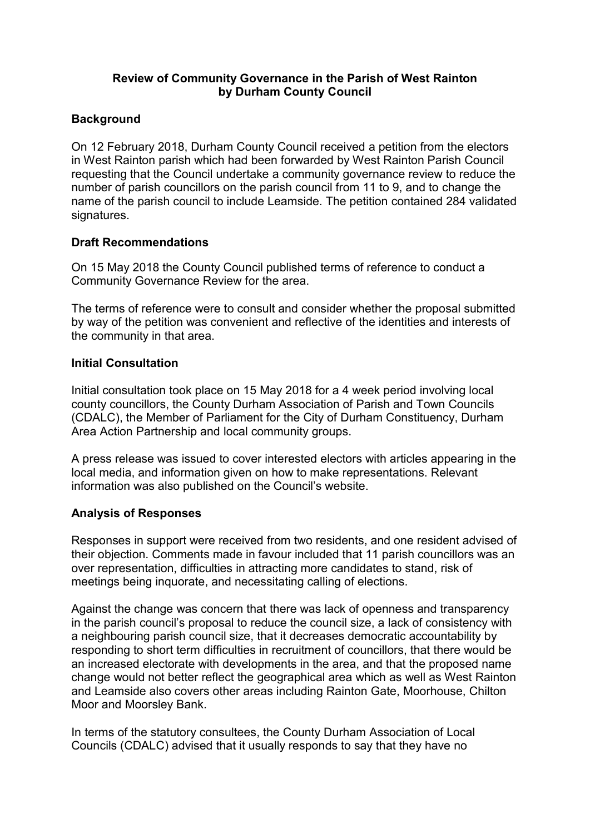#### Review of Community Governance in the Parish of West Rainton by Durham County Council

#### **Background**

On 12 February 2018, Durham County Council received a petition from the electors in West Rainton parish which had been forwarded by West Rainton Parish Council requesting that the Council undertake a community governance review to reduce the number of parish councillors on the parish council from 11 to 9, and to change the name of the parish council to include Leamside. The petition contained 284 validated signatures.

#### Draft Recommendations

On 15 May 2018 the County Council published terms of reference to conduct a Community Governance Review for the area.

The terms of reference were to consult and consider whether the proposal submitted by way of the petition was convenient and reflective of the identities and interests of the community in that area.

# Initial Consultation

Initial consultation took place on 15 May 2018 for a 4 week period involving local county councillors, the County Durham Association of Parish and Town Councils (CDALC), the Member of Parliament for the City of Durham Constituency, Durham Area Action Partnership and local community groups.

A press release was issued to cover interested electors with articles appearing in the local media, and information given on how to make representations. Relevant information was also published on the Council's website.

# Analysis of Responses

Responses in support were received from two residents, and one resident advised of their objection. Comments made in favour included that 11 parish councillors was an over representation, difficulties in attracting more candidates to stand, risk of meetings being inquorate, and necessitating calling of elections.

Against the change was concern that there was lack of openness and transparency in the parish council's proposal to reduce the council size, a lack of consistency with a neighbouring parish council size, that it decreases democratic accountability by responding to short term difficulties in recruitment of councillors, that there would be an increased electorate with developments in the area, and that the proposed name change would not better reflect the geographical area which as well as West Rainton and Leamside also covers other areas including Rainton Gate, Moorhouse, Chilton Moor and Moorsley Bank.

In terms of the statutory consultees, the County Durham Association of Local Councils (CDALC) advised that it usually responds to say that they have no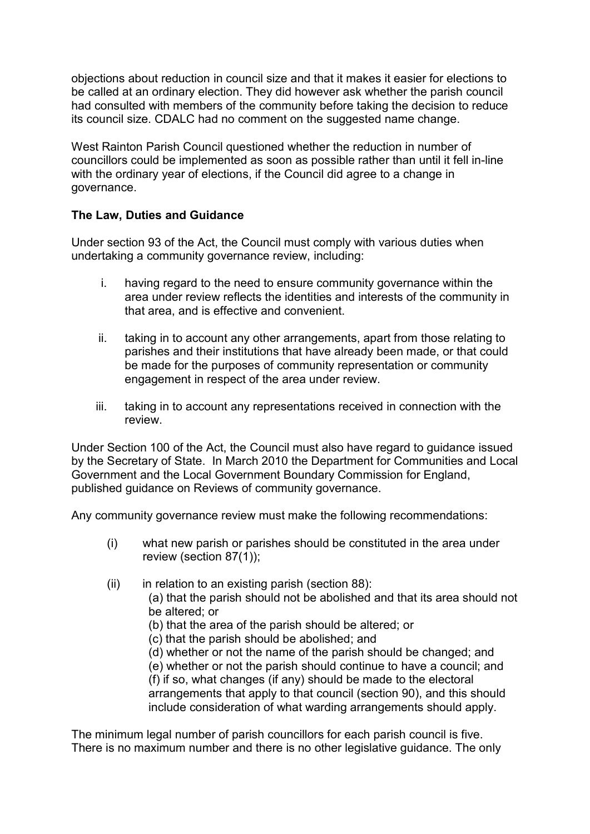objections about reduction in council size and that it makes it easier for elections to be called at an ordinary election. They did however ask whether the parish council had consulted with members of the community before taking the decision to reduce its council size. CDALC had no comment on the suggested name change.

West Rainton Parish Council questioned whether the reduction in number of councillors could be implemented as soon as possible rather than until it fell in-line with the ordinary year of elections, if the Council did agree to a change in governance.

# The Law, Duties and Guidance

Under section 93 of the Act, the Council must comply with various duties when undertaking a community governance review, including:

- i. having regard to the need to ensure community governance within the area under review reflects the identities and interests of the community in that area, and is effective and convenient.
- ii. taking in to account any other arrangements, apart from those relating to parishes and their institutions that have already been made, or that could be made for the purposes of community representation or community engagement in respect of the area under review.
- iii. taking in to account any representations received in connection with the review.

Under Section 100 of the Act, the Council must also have regard to guidance issued by the Secretary of State. In March 2010 the Department for Communities and Local Government and the Local Government Boundary Commission for England, published guidance on Reviews of community governance.

Any community governance review must make the following recommendations:

- (i) what new parish or parishes should be constituted in the area under review (section 87(1));
- $(ii)$  in relation to an existing parish (section 88):
	- (a) that the parish should not be abolished and that its area should not be altered; or
	- (b) that the area of the parish should be altered; or
	- (c) that the parish should be abolished; and

(d) whether or not the name of the parish should be changed; and (e) whether or not the parish should continue to have a council; and (f) if so, what changes (if any) should be made to the electoral arrangements that apply to that council (section 90), and this should

include consideration of what warding arrangements should apply.

The minimum legal number of parish councillors for each parish council is five. There is no maximum number and there is no other legislative guidance. The only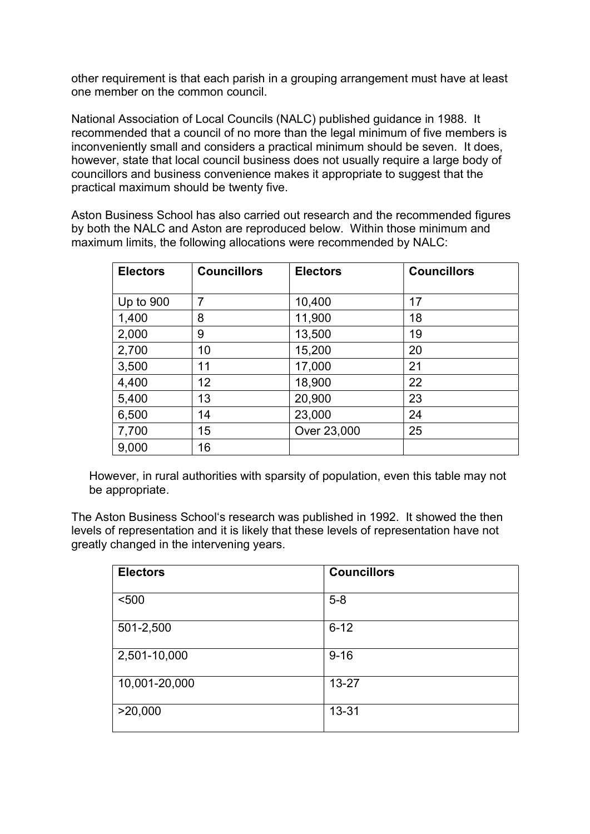other requirement is that each parish in a grouping arrangement must have at least one member on the common council.

National Association of Local Councils (NALC) published guidance in 1988. It recommended that a council of no more than the legal minimum of five members is inconveniently small and considers a practical minimum should be seven. It does, however, state that local council business does not usually require a large body of councillors and business convenience makes it appropriate to suggest that the practical maximum should be twenty five.

Aston Business School has also carried out research and the recommended figures by both the NALC and Aston are reproduced below. Within those minimum and maximum limits, the following allocations were recommended by NALC:

| <b>Electors</b> | <b>Councillors</b> | <b>Electors</b> | <b>Councillors</b> |
|-----------------|--------------------|-----------------|--------------------|
|                 |                    |                 |                    |
| Up to 900       | $\overline{7}$     | 10,400          | 17                 |
| 1,400           | 8                  | 11,900          | 18                 |
| 2,000           | 9                  | 13,500          | 19                 |
| 2,700           | 10                 | 15,200          | 20                 |
| 3,500           | 11                 | 17,000          | 21                 |
| 4,400           | 12                 | 18,900          | 22                 |
| 5,400           | 13                 | 20,900          | 23                 |
| 6,500           | 14                 | 23,000          | 24                 |
| 7,700           | 15                 | Over 23,000     | 25                 |
| 9,000           | 16                 |                 |                    |

However, in rural authorities with sparsity of population, even this table may not be appropriate.

The Aston Business School's research was published in 1992. It showed the then levels of representation and it is likely that these levels of representation have not greatly changed in the intervening years.

| <b>Electors</b> | <b>Councillors</b> |
|-----------------|--------------------|
| < 500           | $5-8$              |
| 501-2,500       | $6 - 12$           |
| 2,501-10,000    | $9 - 16$           |
| 10,001-20,000   | $13 - 27$          |
| >20,000         | 13-31              |